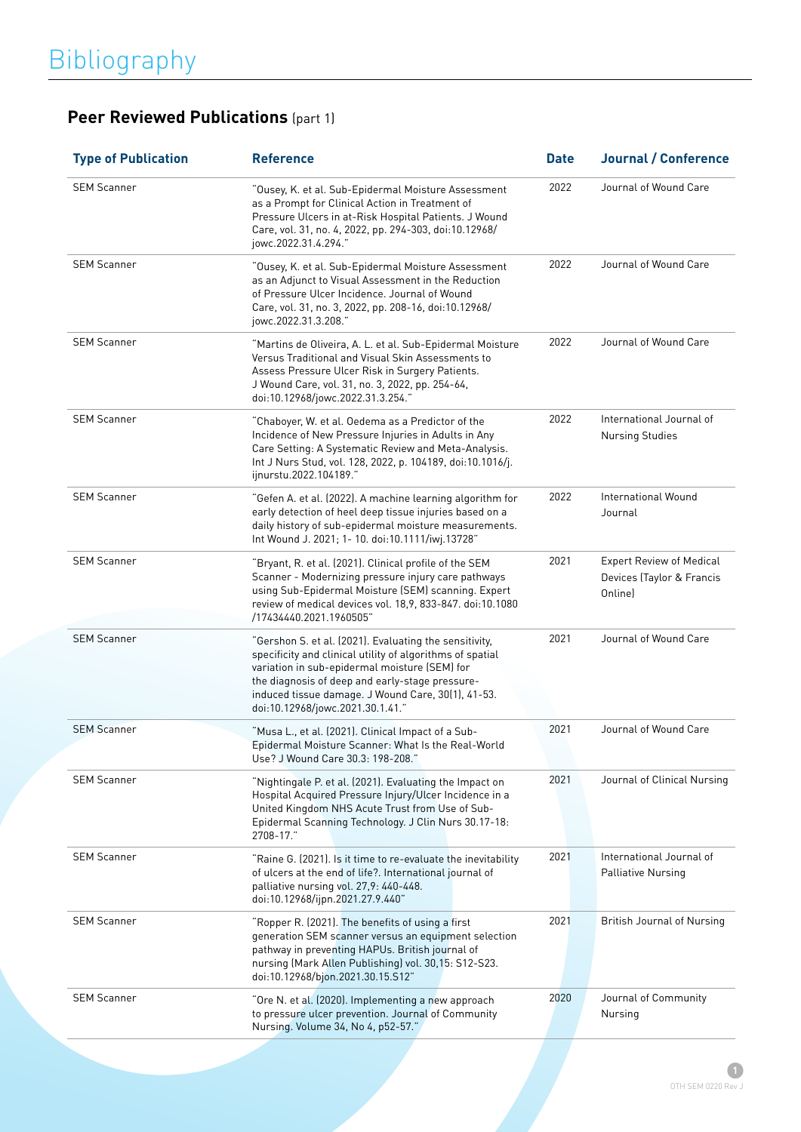| <b>Type of Publication</b> | <b>Reference</b>                                                                                                                                                                                                                                                                                                  | <b>Date</b> | <b>Journal / Conference</b>                                             |
|----------------------------|-------------------------------------------------------------------------------------------------------------------------------------------------------------------------------------------------------------------------------------------------------------------------------------------------------------------|-------------|-------------------------------------------------------------------------|
| <b>SEM Scanner</b>         | "Ousey, K. et al. Sub-Epidermal Moisture Assessment<br>as a Prompt for Clinical Action in Treatment of<br>Pressure Ulcers in at-Risk Hospital Patients. J Wound<br>Care, vol. 31, no. 4, 2022, pp. 294-303, doi:10.12968/<br>jowc.2022.31.4.294."                                                                 | 2022        | Journal of Wound Care                                                   |
| <b>SEM Scanner</b>         | "Ousey, K. et al. Sub-Epidermal Moisture Assessment<br>as an Adjunct to Visual Assessment in the Reduction<br>of Pressure Ulcer Incidence. Journal of Wound<br>Care, vol. 31, no. 3, 2022, pp. 208-16, doi:10.12968/<br>jowc.2022.31.3.208."                                                                      | 2022        | Journal of Wound Care                                                   |
| <b>SEM Scanner</b>         | "Martins de Oliveira, A. L. et al. Sub-Epidermal Moisture<br>Versus Traditional and Visual Skin Assessments to<br>Assess Pressure Ulcer Risk in Surgery Patients.<br>J Wound Care, vol. 31, no. 3, 2022, pp. 254-64,<br>doi:10.12968/jowc.2022.31.3.254."                                                         | 2022        | Journal of Wound Care                                                   |
| <b>SEM Scanner</b>         | "Chaboyer, W. et al. Oedema as a Predictor of the<br>Incidence of New Pressure Injuries in Adults in Any<br>Care Setting: A Systematic Review and Meta-Analysis.<br>Int J Nurs Stud, vol. 128, 2022, p. 104189, doi:10.1016/j.<br>ijnurstu.2022.104189."                                                          | 2022        | International Journal of<br><b>Nursing Studies</b>                      |
| <b>SEM Scanner</b>         | "Gefen A. et al. (2022). A machine learning algorithm for<br>early detection of heel deep tissue injuries based on a<br>daily history of sub-epidermal moisture measurements.<br>Int Wound J. 2021; 1- 10. doi:10.1111/iwj.13728"                                                                                 | 2022        | International Wound<br>Journal                                          |
| <b>SEM Scanner</b>         | "Bryant, R. et al. (2021). Clinical profile of the SEM<br>Scanner - Modernizing pressure injury care pathways<br>using Sub-Epidermal Moisture (SEM) scanning. Expert<br>review of medical devices vol. 18,9, 833-847. doi:10.1080<br>/17434440.2021.1960505"                                                      | 2021        | <b>Expert Review of Medical</b><br>Devices (Taylor & Francis<br>Online) |
| <b>SEM Scanner</b>         | "Gershon S. et al. (2021). Evaluating the sensitivity,<br>specificity and clinical utility of algorithms of spatial<br>variation in sub-epidermal moisture (SEM) for<br>the diagnosis of deep and early-stage pressure-<br>induced tissue damage. J Wound Care, 30(1), 41-53.<br>doi:10.12968/jowc.2021.30.1.41." | 2021        | Journal of Wound Care                                                   |
| <b>SEM Scanner</b>         | "Musa L., et al. (2021). Clinical Impact of a Sub-<br>Epidermal Moisture Scanner: What Is the Real-World<br>Use? J Wound Care 30.3: 198-208."                                                                                                                                                                     | 2021        | Journal of Wound Care                                                   |
| <b>SEM Scanner</b>         | "Nightingale P. et al. (2021). Evaluating the Impact on<br>Hospital Acquired Pressure Injury/Ulcer Incidence in a<br>United Kingdom NHS Acute Trust from Use of Sub-<br>Epidermal Scanning Technology. J Clin Nurs 30.17-18:<br>2708-17."                                                                         | 2021        | Journal of Clinical Nursing                                             |
| <b>SEM Scanner</b>         | "Raine G. (2021). Is it time to re-evaluate the inevitability<br>of ulcers at the end of life?. International journal of<br>palliative nursing vol. 27,9: 440-448.<br>doi:10.12968/ijpn.2021.27.9.440"                                                                                                            | 2021        | International Journal of<br><b>Palliative Nursing</b>                   |
| <b>SEM Scanner</b>         | "Ropper R. (2021). The benefits of using a first<br>generation SEM scanner versus an equipment selection<br>pathway in preventing HAPUs. British journal of<br>nursing (Mark Allen Publishing) vol. 30,15: S12-S23.<br>doi:10.12968/bjon.2021.30.15.S12"                                                          | 2021        | <b>British Journal of Nursing</b>                                       |
| <b>SEM Scanner</b>         | "Ore N. et al. (2020). Implementing a new approach<br>to pressure ulcer prevention. Journal of Community<br>Nursing. Volume 34, No 4, p52-57."                                                                                                                                                                    | 2020        | Journal of Community<br>Nursing                                         |
|                            |                                                                                                                                                                                                                                                                                                                   |             |                                                                         |

## **Peer Reviewed Publications** (part 1)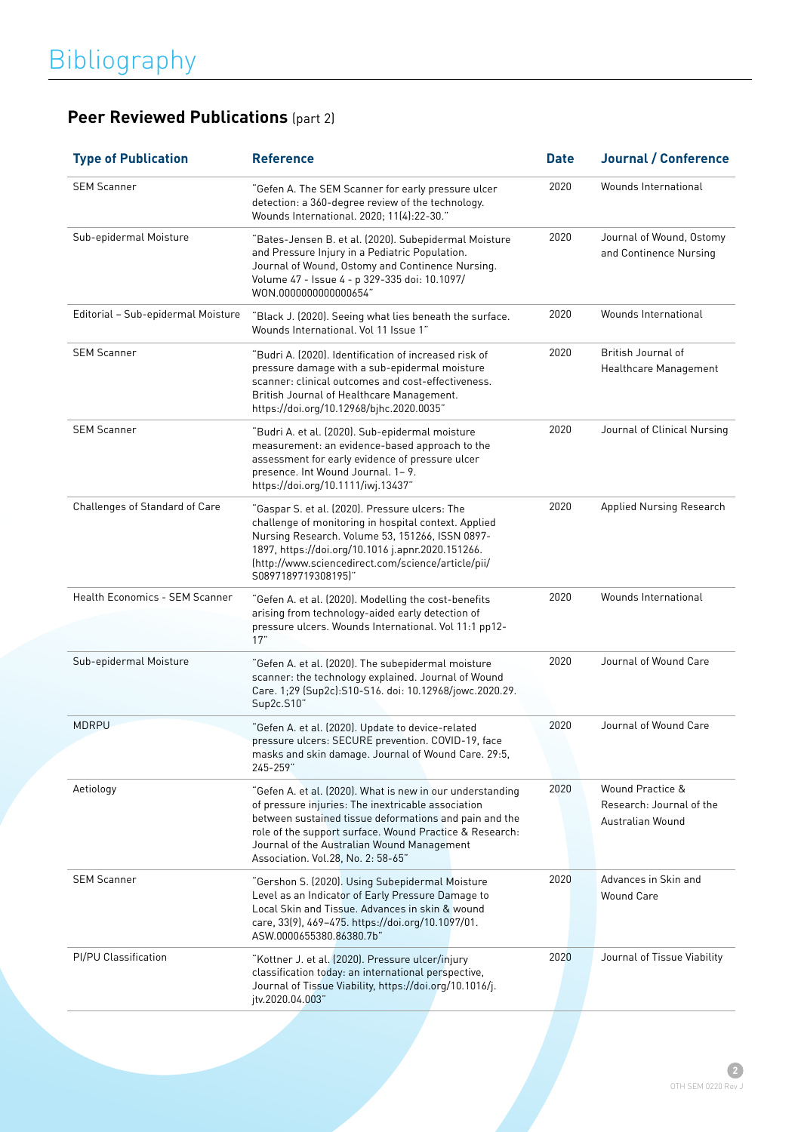## **Peer Reviewed Publications** (part 2)

| <b>Type of Publication</b>            | <b>Reference</b>                                                                                                                                                                                                                                                                                                         | <b>Date</b> | <b>Journal / Conference</b>                                      |
|---------------------------------------|--------------------------------------------------------------------------------------------------------------------------------------------------------------------------------------------------------------------------------------------------------------------------------------------------------------------------|-------------|------------------------------------------------------------------|
| <b>SEM Scanner</b>                    | "Gefen A. The SEM Scanner for early pressure ulcer<br>detection: a 360-degree review of the technology.<br>Wounds International. 2020; 11(4):22-30."                                                                                                                                                                     | 2020        | Wounds International                                             |
| Sub-epidermal Moisture                | "Bates-Jensen B. et al. (2020). Subepidermal Moisture<br>and Pressure Injury in a Pediatric Population.<br>Journal of Wound, Ostomy and Continence Nursing.<br>Volume 47 - Issue 4 - p 329-335 doi: 10.1097/<br>WON.0000000000000654"                                                                                    | 2020        | Journal of Wound, Ostomy<br>and Continence Nursing               |
| Editorial - Sub-epidermal Moisture    | "Black J. (2020). Seeing what lies beneath the surface.<br>Wounds International, Vol 11 Issue 1"                                                                                                                                                                                                                         | 2020        | Wounds International                                             |
| <b>SEM Scanner</b>                    | "Budri A. (2020). Identification of increased risk of<br>pressure damage with a sub-epidermal moisture<br>scanner: clinical outcomes and cost-effectiveness.<br>British Journal of Healthcare Management.<br>https://doi.org/10.12968/bjhc.2020.0035"                                                                    | 2020        | British Journal of<br>Healthcare Management                      |
| <b>SEM Scanner</b>                    | "Budri A. et al. (2020). Sub-epidermal moisture<br>measurement: an evidence-based approach to the<br>assessment for early evidence of pressure ulcer<br>presence. Int Wound Journal. 1-9.<br>https://doi.org/10.1111/iwj.13437"                                                                                          | 2020        | Journal of Clinical Nursing                                      |
| Challenges of Standard of Care        | "Gaspar S. et al. (2020). Pressure ulcers: The<br>challenge of monitoring in hospital context. Applied<br>Nursing Research. Volume 53, 151266, ISSN 0897-<br>1897, https://doi.org/10.1016 j.apnr.2020.151266.<br>(http://www.sciencedirect.com/science/article/pii/<br>S0897189719308195)"                              | 2020        | <b>Applied Nursing Research</b>                                  |
| <b>Health Economics - SEM Scanner</b> | "Gefen A. et al. (2020). Modelling the cost-benefits<br>arising from technology-aided early detection of<br>pressure ulcers. Wounds International. Vol 11:1 pp12-<br>17"                                                                                                                                                 | 2020        | Wounds International                                             |
| Sub-epidermal Moisture                | "Gefen A. et al. (2020). The subepidermal moisture<br>scanner: the technology explained. Journal of Wound<br>Care. 1;29 (Sup2c):S10-S16. doi: 10.12968/jowc.2020.29.<br>Sup2c.S10"                                                                                                                                       | 2020        | Journal of Wound Care                                            |
| <b>MDRPU</b>                          | "Gefen A. et al. (2020). Update to device-related<br>pressure ulcers: SECURE prevention. COVID-19, face<br>masks and skin damage. Journal of Wound Care. 29:5,<br>245-259"                                                                                                                                               | 2020        | Journal of Wound Care                                            |
| Aetiology                             | "Gefen A. et al. (2020). What is new in our understanding<br>of pressure injuries: The inextricable association<br>between sustained tissue deformations and pain and the<br>role of the support surface. Wound Practice & Research:<br>Journal of the Australian Wound Management<br>Association. Vol.28, No. 2: 58-65" | 2020        | Wound Practice &<br>Research: Journal of the<br>Australian Wound |
| <b>SEM Scanner</b>                    | "Gershon S. (2020). Using Subepidermal Moisture<br>Level as an Indicator of Early Pressure Damage to<br>Local Skin and Tissue. Advances in skin & wound<br>care, 33(9), 469-475. https://doi.org/10.1097/01.<br>ASW.0000655380.86380.7b"                                                                                 | 2020        | Advances in Skin and<br><b>Wound Care</b>                        |
| PI/PU Classification                  | "Kottner J. et al. (2020). Pressure ulcer/injury<br>classification today: an international perspective,<br>Journal of Tissue Viability, https://doi.org/10.1016/j.<br>jtv.2020.04.003"                                                                                                                                   | 2020        | Journal of Tissue Viability                                      |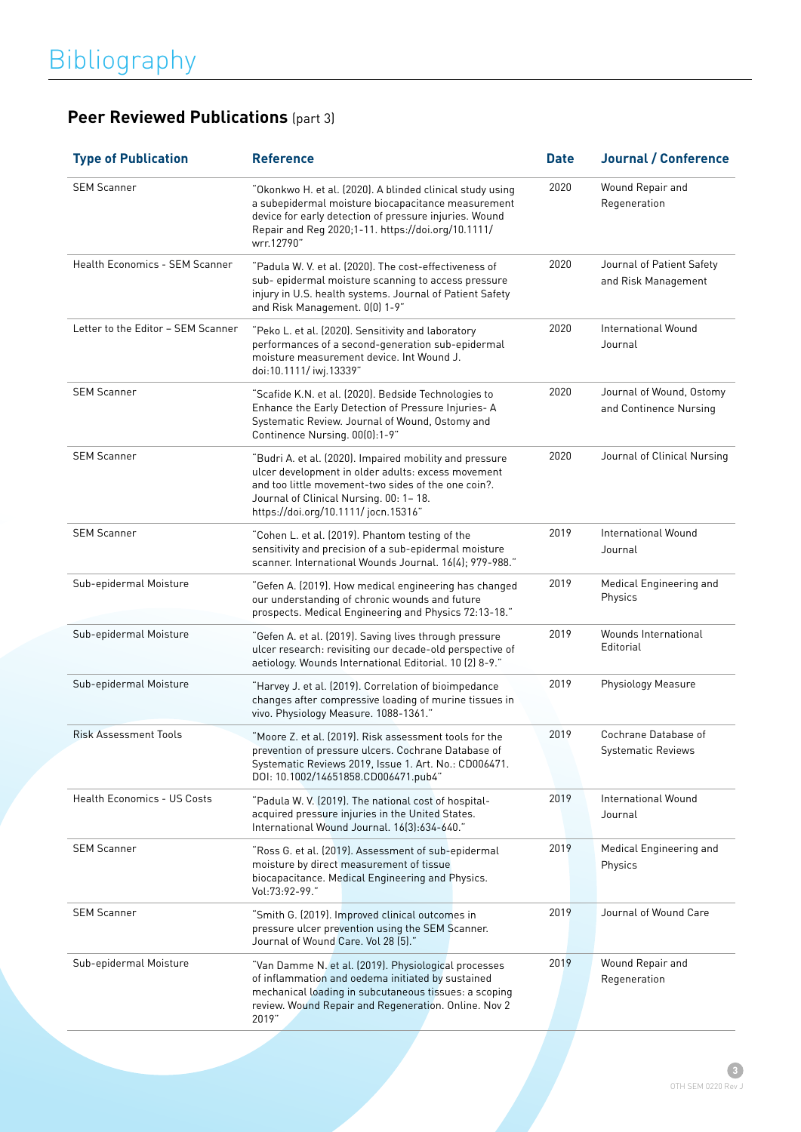## **Peer Reviewed Publications** (part 3)

| <b>Type of Publication</b>            | <b>Reference</b>                                                                                                                                                                                                                                       | <b>Date</b> | <b>Journal / Conference</b>                        |
|---------------------------------------|--------------------------------------------------------------------------------------------------------------------------------------------------------------------------------------------------------------------------------------------------------|-------------|----------------------------------------------------|
| <b>SEM Scanner</b>                    | "Okonkwo H. et al. (2020). A blinded clinical study using<br>a subepidermal moisture biocapacitance measurement<br>device for early detection of pressure injuries. Wound<br>Repair and Reg 2020;1-11. https://doi.org/10.1111/<br>wrr.12790"          | 2020        | Wound Repair and<br>Regeneration                   |
| <b>Health Economics - SEM Scanner</b> | "Padula W. V. et al. (2020). The cost-effectiveness of<br>sub- epidermal moisture scanning to access pressure<br>injury in U.S. health systems. Journal of Patient Safety<br>and Risk Management. 0(0) 1-9"                                            | 2020        | Journal of Patient Safety<br>and Risk Management   |
| Letter to the Editor - SEM Scanner    | "Peko L. et al. (2020). Sensitivity and laboratory<br>performances of a second-generation sub-epidermal<br>moisture measurement device. Int Wound J.<br>doi:10.1111/ iwj.13339"                                                                        | 2020        | International Wound<br>Journal                     |
| <b>SEM Scanner</b>                    | "Scafide K.N. et al. (2020). Bedside Technologies to<br>Enhance the Early Detection of Pressure Injuries- A<br>Systematic Review. Journal of Wound, Ostomy and<br>Continence Nursing. 00(0):1-9"                                                       | 2020        | Journal of Wound, Ostomy<br>and Continence Nursing |
| <b>SEM Scanner</b>                    | "Budri A. et al. (2020). Impaired mobility and pressure<br>ulcer development in older adults: excess movement<br>and too little movement-two sides of the one coin?.<br>Journal of Clinical Nursing. 00: 1-18.<br>https://doi.org/10.1111/ jocn.15316" | 2020        | Journal of Clinical Nursing                        |
| <b>SEM Scanner</b>                    | "Cohen L. et al. (2019). Phantom testing of the<br>sensitivity and precision of a sub-epidermal moisture<br>scanner. International Wounds Journal. 16(4); 979-988."                                                                                    | 2019        | International Wound<br>Journal                     |
| Sub-epidermal Moisture                | "Gefen A. (2019). How medical engineering has changed<br>our understanding of chronic wounds and future<br>prospects. Medical Engineering and Physics 72:13-18."                                                                                       | 2019        | Medical Engineering and<br>Physics                 |
| Sub-epidermal Moisture                | "Gefen A. et al. (2019). Saving lives through pressure<br>ulcer research: revisiting our decade-old perspective of<br>aetiology. Wounds International Editorial. 10 (2) 8-9."                                                                          | 2019        | Wounds International<br>Editorial                  |
| Sub-epidermal Moisture                | "Harvey J. et al. (2019). Correlation of bioimpedance<br>changes after compressive loading of murine tissues in<br>vivo. Physiology Measure. 1088-1361."                                                                                               | 2019        | Physiology Measure                                 |
| <b>Risk Assessment Tools</b>          | "Moore Z. et al. (2019). Risk assessment tools for the<br>prevention of pressure ulcers. Cochrane Database of<br>Systematic Reviews 2019, Issue 1. Art. No.: CD006471.<br>DOI: 10.1002/14651858.CD006471.pub4"                                         | 2019        | Cochrane Database of<br><b>Systematic Reviews</b>  |
| <b>Health Economics - US Costs</b>    | "Padula W. V. (2019). The national cost of hospital-<br>acquired pressure injuries in the United States.<br>International Wound Journal. 16(3):634-640."                                                                                               | 2019        | International Wound<br>Journal                     |
| <b>SEM Scanner</b>                    | "Ross G. et al. (2019). Assessment of sub-epidermal<br>moisture by direct measurement of tissue<br>biocapacitance. Medical Engineering and Physics.<br>Vol:73:92-99."                                                                                  | 2019        | Medical Engineering and<br>Physics                 |
| <b>SEM Scanner</b>                    | "Smith G. (2019). Improved clinical outcomes in<br>pressure ulcer prevention using the SEM Scanner.<br>Journal of Wound Care. Vol 28 [5]."                                                                                                             | 2019        | Journal of Wound Care                              |
| Sub-epidermal Moisture                | "Van Damme N. et al. (2019). Physiological processes<br>of inflammation and oedema initiated by sustained<br>mechanical loading in subcutaneous tissues: a scoping<br>review. Wound Repair and Regeneration. Online. Nov 2<br>2019"                    | 2019        | Wound Repair and<br>Regeneration                   |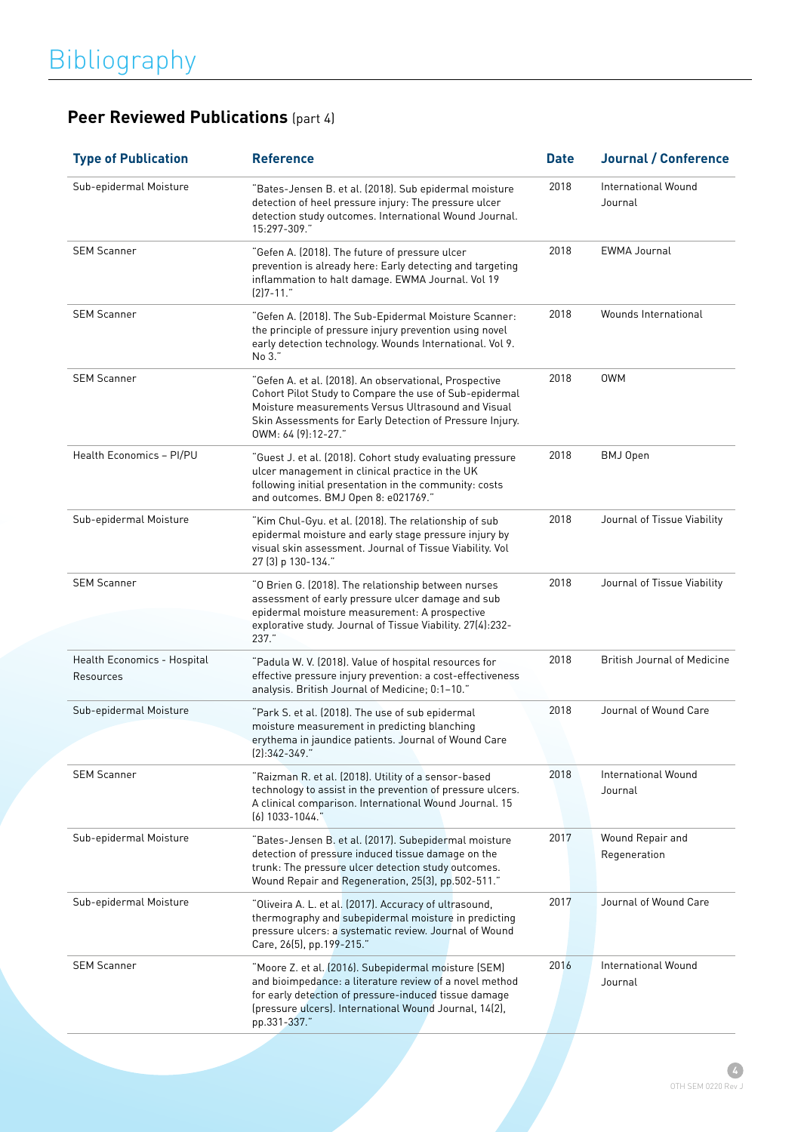| <b>Type of Publication</b>               | <b>Reference</b>                                                                                                                                                                                                                                          | <b>Date</b> | <b>Journal / Conference</b>        |
|------------------------------------------|-----------------------------------------------------------------------------------------------------------------------------------------------------------------------------------------------------------------------------------------------------------|-------------|------------------------------------|
| Sub-epidermal Moisture                   | "Bates-Jensen B. et al. (2018). Sub epidermal moisture<br>detection of heel pressure injury: The pressure ulcer<br>detection study outcomes. International Wound Journal.<br>15:297-309."                                                                 | 2018        | International Wound<br>Journal     |
| <b>SEM Scanner</b>                       | "Gefen A. (2018). The future of pressure ulcer<br>prevention is already here: Early detecting and targeting<br>inflammation to halt damage. EWMA Journal. Vol 19<br>$(2)7 - 11.$                                                                          | 2018        | <b>EWMA Journal</b>                |
| <b>SEM Scanner</b>                       | "Gefen A. (2018). The Sub-Epidermal Moisture Scanner:<br>the principle of pressure injury prevention using novel<br>early detection technology. Wounds International. Vol 9.<br>No 3."                                                                    | 2018        | Wounds International               |
| <b>SEM Scanner</b>                       | "Gefen A. et al. (2018). An observational, Prospective<br>Cohort Pilot Study to Compare the use of Sub-epidermal<br>Moisture measurements Versus Ultrasound and Visual<br>Skin Assessments for Early Detection of Pressure Injury.<br>OWM: 64 (9):12-27." | 2018        | <b>OWM</b>                         |
| Health Economics - PI/PU                 | "Guest J. et al. (2018). Cohort study evaluating pressure<br>ulcer management in clinical practice in the UK<br>following initial presentation in the community: costs<br>and outcomes. BMJ Open 8: e021769."                                             | 2018        | BMJ Open                           |
| Sub-epidermal Moisture                   | "Kim Chul-Gyu. et al. (2018). The relationship of sub<br>epidermal moisture and early stage pressure injury by<br>visual skin assessment. Journal of Tissue Viability. Vol<br>27 (3) p 130-134."                                                          | 2018        | Journal of Tissue Viability        |
| <b>SEM Scanner</b>                       | "O Brien G. (2018). The relationship between nurses<br>assessment of early pressure ulcer damage and sub<br>epidermal moisture measurement: A prospective<br>explorative study. Journal of Tissue Viability. 27(4):232-<br>$237.$ "                       | 2018        | Journal of Tissue Viability        |
| Health Economics - Hospital<br>Resources | "Padula W. V. (2018). Value of hospital resources for<br>effective pressure injury prevention: a cost-effectiveness<br>analysis. British Journal of Medicine; 0:1-10."                                                                                    | 2018        | <b>British Journal of Medicine</b> |
| Sub-epidermal Moisture                   | "Park S. et al. (2018). The use of sub epidermal<br>moisture measurement in predicting blanching<br>erythema in jaundice patients. Journal of Wound Care<br>$(2):342-349."$                                                                               | 2018        | Journal of Wound Care              |
| <b>SEM Scanner</b>                       | "Raizman R. et al. (2018). Utility of a sensor-based<br>technology to assist in the prevention of pressure ulcers.<br>A clinical comparison. International Wound Journal. 15<br>$(6)$ 1033-1044."                                                         | 2018        | International Wound<br>Journal     |
| Sub-epidermal Moisture                   | "Bates-Jensen B. et al. (2017). Subepidermal moisture<br>detection of pressure induced tissue damage on the<br>trunk: The pressure ulcer detection study outcomes.<br>Wound Repair and Regeneration, 25(3), pp.502-511."                                  | 2017        | Wound Repair and<br>Regeneration   |
| Sub-epidermal Moisture                   | "Oliveira A. L. et al. (2017). Accuracy of ultrasound,<br>thermography and subepidermal moisture in predicting<br>pressure ulcers: a systematic review. Journal of Wound<br>Care, 26(5), pp.199-215."                                                     | 2017        | Journal of Wound Care              |
| <b>SEM Scanner</b>                       | "Moore Z. et al. (2016). Subepidermal moisture (SEM)<br>and bioimpedance: a literature review of a novel method<br>for early detection of pressure-induced tissue damage<br>(pressure ulcers). International Wound Journal, 14(2),<br>pp.331-337."        | 2016        | International Wound<br>Journal     |

## **Peer Reviewed Publications** (part 4)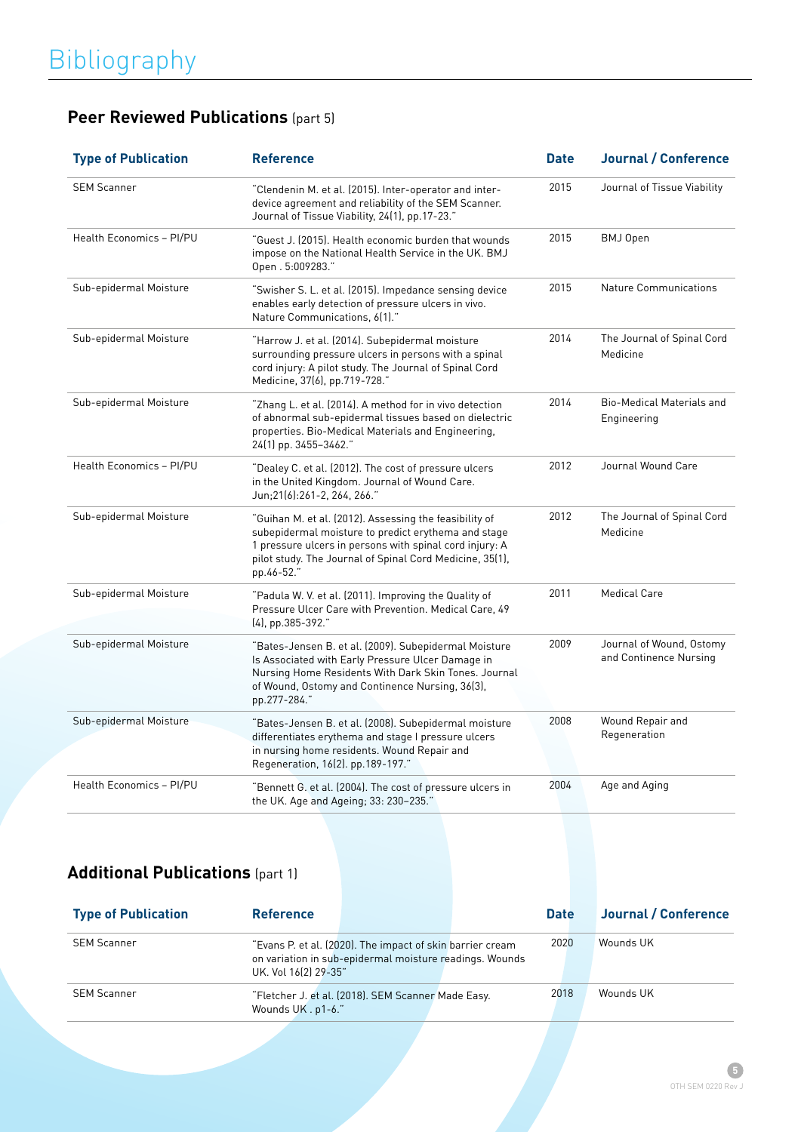|  | <b>Peer Reviewed Publications (part 5)</b> |
|--|--------------------------------------------|
|--|--------------------------------------------|

| <b>Type of Publication</b> | <b>Reference</b>                                                                                                                                                                                                                                   | <b>Date</b> | <b>Journal / Conference</b>                        |
|----------------------------|----------------------------------------------------------------------------------------------------------------------------------------------------------------------------------------------------------------------------------------------------|-------------|----------------------------------------------------|
| <b>SEM Scanner</b>         | "Clendenin M. et al. (2015). Inter-operator and inter-<br>device agreement and reliability of the SEM Scanner.<br>Journal of Tissue Viability, 24(1), pp.17-23."                                                                                   | 2015        | Journal of Tissue Viability                        |
| Health Economics - PI/PU   | "Guest J. (2015). Health economic burden that wounds<br>impose on the National Health Service in the UK. BMJ<br>Open. 5:009283."                                                                                                                   | 2015        | BMJ Open                                           |
| Sub-epidermal Moisture     | "Swisher S. L. et al. (2015). Impedance sensing device<br>enables early detection of pressure ulcers in vivo.<br>Nature Communications, 6(1)."                                                                                                     | 2015        | <b>Nature Communications</b>                       |
| Sub-epidermal Moisture     | "Harrow J. et al. (2014). Subepidermal moisture<br>surrounding pressure ulcers in persons with a spinal<br>cord injury: A pilot study. The Journal of Spinal Cord<br>Medicine, 37(6), pp.719-728."                                                 | 2014        | The Journal of Spinal Cord<br>Medicine             |
| Sub-epidermal Moisture     | "Zhang L. et al. (2014). A method for in vivo detection<br>of abnormal sub-epidermal tissues based on dielectric<br>properties. Bio-Medical Materials and Engineering,<br>24(1) pp. 3455-3462."                                                    | 2014        | <b>Bio-Medical Materials and</b><br>Engineering    |
| Health Economics - PI/PU   | "Dealey C. et al. (2012). The cost of pressure ulcers<br>in the United Kingdom. Journal of Wound Care.<br>Jun;21(6):261-2, 264, 266."                                                                                                              | 2012        | Journal Wound Care                                 |
| Sub-epidermal Moisture     | "Guihan M. et al. (2012). Assessing the feasibility of<br>subepidermal moisture to predict erythema and stage<br>1 pressure ulcers in persons with spinal cord injury: A<br>pilot study. The Journal of Spinal Cord Medicine, 35(1),<br>pp.46-52." | 2012        | The Journal of Spinal Cord<br>Medicine             |
| Sub-epidermal Moisture     | "Padula W. V. et al. (2011). Improving the Quality of<br>Pressure Ulcer Care with Prevention. Medical Care, 49<br>(4), pp.385-392."                                                                                                                | 2011        | <b>Medical Care</b>                                |
| Sub-epidermal Moisture     | "Bates-Jensen B. et al. (2009). Subepidermal Moisture<br>Is Associated with Early Pressure Ulcer Damage in<br>Nursing Home Residents With Dark Skin Tones. Journal<br>of Wound, Ostomy and Continence Nursing, 36(3),<br>pp.277-284."              | 2009        | Journal of Wound, Ostomy<br>and Continence Nursing |
| Sub-epidermal Moisture     | "Bates-Jensen B. et al. (2008). Subepidermal moisture<br>differentiates erythema and stage I pressure ulcers<br>in nursing home residents. Wound Repair and<br>Regeneration, 16(2). pp.189-197."                                                   | 2008        | Wound Repair and<br>Regeneration                   |
| Health Economics - PI/PU   | "Bennett G. et al. (2004). The cost of pressure ulcers in<br>the UK. Age and Ageing; 33: 230-235."                                                                                                                                                 | 2004        | Age and Aging                                      |

### **Additional Publications** (part 1)

| <b>Type of Publication</b> | <b>Reference</b>     |                                                                                                                      | <b>Date</b> | Journal / Conference |
|----------------------------|----------------------|----------------------------------------------------------------------------------------------------------------------|-------------|----------------------|
| <b>SEM Scanner</b>         | UK. Vol 16(2) 29-35" | "Evans P. et al. (2020). The impact of skin barrier cream<br>on variation in sub-epidermal moisture readings. Wounds | 2020        | Wounds UK            |
| <b>SEM Scanner</b>         | Wounds UK . p1-6."   | "Fletcher J. et al. (2018). SEM Scanner Made Easy.                                                                   | 2018        | Wounds UK            |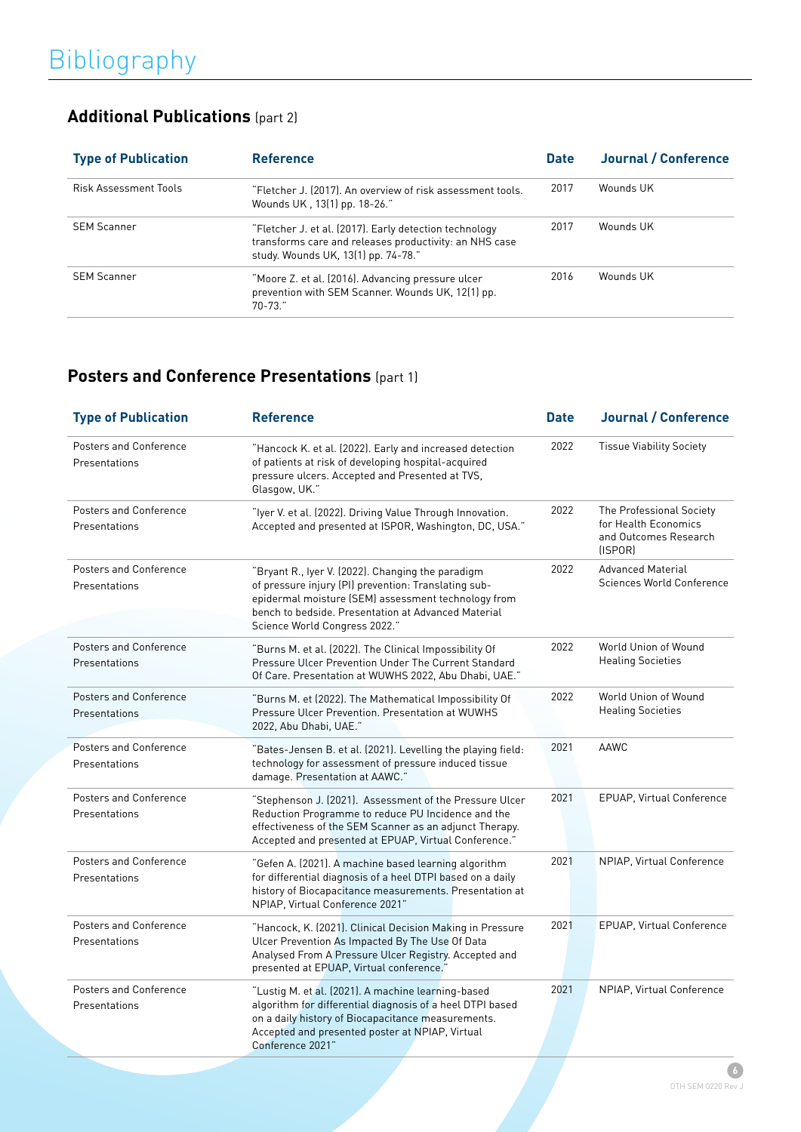### **Additional Publications** (part 2)

| <b>Type of Publication</b>   | <b>Reference</b>                                                                                                                                        | <b>Date</b> | Journal / Conference |
|------------------------------|---------------------------------------------------------------------------------------------------------------------------------------------------------|-------------|----------------------|
| <b>Risk Assessment Tools</b> | "Fletcher J. (2017). An overview of risk assessment tools.<br>Wounds UK, 13(1) pp. 18-26."                                                              | 2017        | Wounds UK            |
| <b>SEM Scanner</b>           | "Fletcher J. et al. (2017). Early detection technology<br>transforms care and releases productivity: an NHS case<br>study. Wounds UK, 13(1) pp. 74-78." | 2017        | Wounds UK            |
| <b>SEM Scanner</b>           | "Moore Z. et al. (2016). Advancing pressure ulcer<br>prevention with SEM Scanner. Wounds UK, 12(1) pp.<br>$70 - 73.7$                                   | 2016        | Wounds UK            |

### **Posters and Conference Presentations** (part 1)

| <b>Type of Publication</b>                     | <b>Reference</b>                                                                                                                                                                                                                                         | <b>Date</b> | <b>Journal / Conference</b>                                                           |
|------------------------------------------------|----------------------------------------------------------------------------------------------------------------------------------------------------------------------------------------------------------------------------------------------------------|-------------|---------------------------------------------------------------------------------------|
| <b>Posters and Conference</b><br>Presentations | "Hancock K. et al. (2022). Early and increased detection<br>of patients at risk of developing hospital-acquired<br>pressure ulcers. Accepted and Presented at TVS,<br>Glasgow, UK."                                                                      | 2022        | <b>Tissue Viability Society</b>                                                       |
| <b>Posters and Conference</b><br>Presentations | "Iyer V. et al. (2022). Driving Value Through Innovation.<br>Accepted and presented at ISPOR, Washington, DC, USA."                                                                                                                                      | 2022        | The Professional Society<br>for Health Economics<br>and Outcomes Research<br>(ISPORT) |
| Posters and Conference<br>Presentations        | "Bryant R., Iyer V. (2022). Changing the paradigm<br>of pressure injury (PI) prevention: Translating sub-<br>epidermal moisture (SEM) assessment technology from<br>bench to bedside. Presentation at Advanced Material<br>Science World Congress 2022." | 2022        | <b>Advanced Material</b><br>Sciences World Conference                                 |
| <b>Posters and Conference</b><br>Presentations | "Burns M. et al. (2022). The Clinical Impossibility Of<br>Pressure Ulcer Prevention Under The Current Standard<br>Of Care. Presentation at WUWHS 2022. Abu Dhabi, UAE."                                                                                  | 2022        | World Union of Wound<br><b>Healing Societies</b>                                      |
| <b>Posters and Conference</b><br>Presentations | "Burns M. et (2022). The Mathematical Impossibility Of<br>Pressure Ulcer Prevention. Presentation at WUWHS<br>2022, Abu Dhabi, UAE."                                                                                                                     | 2022        | World Union of Wound<br><b>Healing Societies</b>                                      |
| <b>Posters and Conference</b><br>Presentations | "Bates-Jensen B. et al. (2021). Levelling the playing field:<br>technology for assessment of pressure induced tissue<br>damage. Presentation at AAWC."                                                                                                   | 2021        | AAWC                                                                                  |
| <b>Posters and Conference</b><br>Presentations | "Stephenson J. (2021). Assessment of the Pressure Ulcer<br>Reduction Programme to reduce PU Incidence and the<br>effectiveness of the SEM Scanner as an adjunct Therapy.<br>Accepted and presented at EPUAP, Virtual Conference."                        | 2021        | <b>EPUAP, Virtual Conference</b>                                                      |
| <b>Posters and Conference</b><br>Presentations | "Gefen A. (2021). A machine based learning algorithm<br>for differential diagnosis of a heel DTPI based on a daily<br>history of Biocapacitance measurements. Presentation at<br>NPIAP, Virtual Conference 2021"                                         | 2021        | NPIAP, Virtual Conference                                                             |
| Posters and Conference<br>Presentations        | "Hancock, K. (2021). Clinical Decision Making in Pressure<br>Ulcer Prevention As Impacted By The Use Of Data<br>Analysed From A Pressure Ulcer Registry. Accepted and<br>presented at EPUAP, Virtual conference."                                        | 2021        | EPUAP, Virtual Conference                                                             |
| Posters and Conference<br>Presentations        | "Lustig M. et al. (2021). A machine learning-based<br>algorithm for differential diagnosis of a heel DTPI based<br>on a daily history of Biocapacitance measurements.<br>Accepted and presented poster at NPIAP, Virtual<br>Conference 2021"             | 2021        | NPIAP, Virtual Conference                                                             |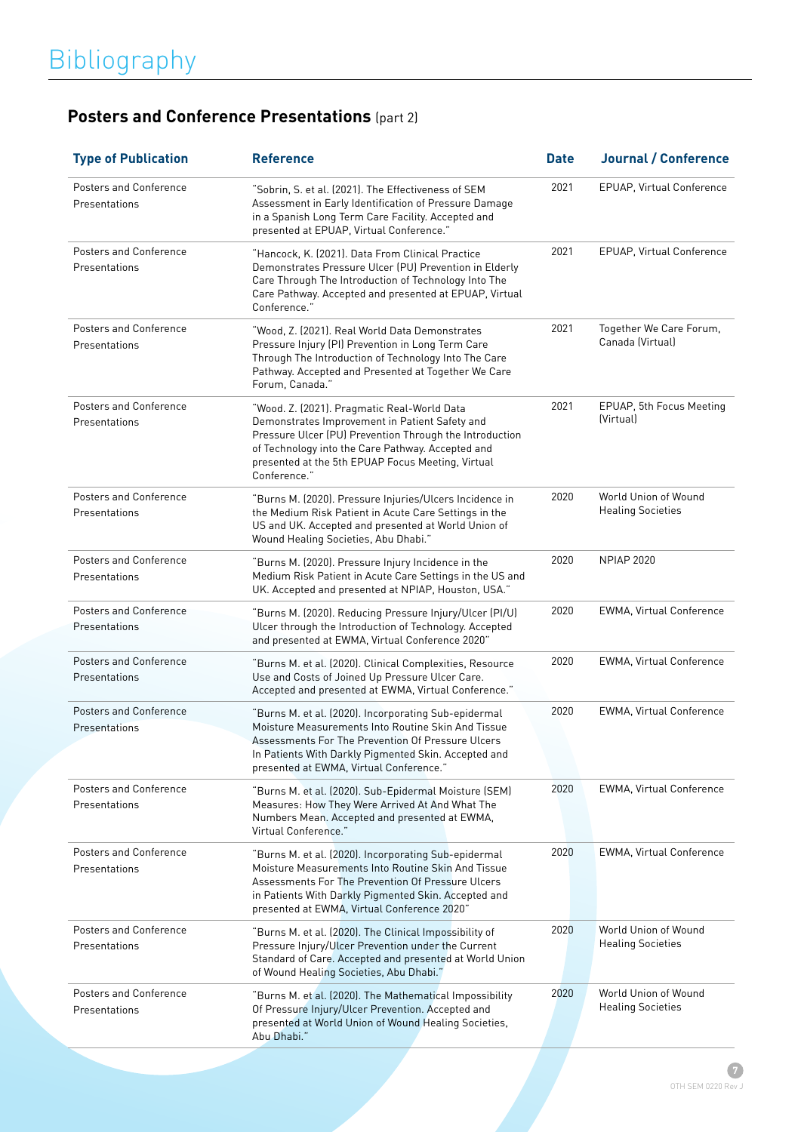## **Posters and Conference Presentations** (part 2)

| <b>Type of Publication</b>                     | <b>Reference</b>                                                                                                                                                                                                                                                                   | <b>Date</b> | <b>Journal / Conference</b>                      |
|------------------------------------------------|------------------------------------------------------------------------------------------------------------------------------------------------------------------------------------------------------------------------------------------------------------------------------------|-------------|--------------------------------------------------|
| <b>Posters and Conference</b><br>Presentations | "Sobrin, S. et al. (2021). The Effectiveness of SEM<br>Assessment in Early Identification of Pressure Damage<br>in a Spanish Long Term Care Facility. Accepted and<br>presented at EPUAP, Virtual Conference."                                                                     | 2021        | EPUAP, Virtual Conference                        |
| <b>Posters and Conference</b><br>Presentations | "Hancock, K. (2021). Data From Clinical Practice<br>Demonstrates Pressure Ulcer (PU) Prevention in Elderly<br>Care Through The Introduction of Technology Into The<br>Care Pathway. Accepted and presented at EPUAP, Virtual<br>Conference."                                       | 2021        | EPUAP, Virtual Conference                        |
| Posters and Conference<br>Presentations        | "Wood, Z. (2021). Real World Data Demonstrates<br>Pressure Injury (PI) Prevention in Long Term Care<br>Through The Introduction of Technology Into The Care<br>Pathway. Accepted and Presented at Together We Care<br>Forum, Canada."                                              | 2021        | Together We Care Forum,<br>Canada (Virtual)      |
| Posters and Conference<br>Presentations        | "Wood. Z. (2021). Pragmatic Real-World Data<br>Demonstrates Improvement in Patient Safety and<br>Pressure Ulcer (PU) Prevention Through the Introduction<br>of Technology into the Care Pathway. Accepted and<br>presented at the 5th EPUAP Focus Meeting, Virtual<br>Conference." | 2021        | EPUAP, 5th Focus Meeting<br>(Virtual)            |
| Posters and Conference<br>Presentations        | "Burns M. (2020). Pressure Injuries/Ulcers Incidence in<br>the Medium Risk Patient in Acute Care Settings in the<br>US and UK. Accepted and presented at World Union of<br>Wound Healing Societies, Abu Dhabi."                                                                    | 2020        | World Union of Wound<br><b>Healing Societies</b> |
| Posters and Conference<br>Presentations        | "Burns M. (2020). Pressure Injury Incidence in the<br>Medium Risk Patient in Acute Care Settings in the US and<br>UK. Accepted and presented at NPIAP, Houston, USA."                                                                                                              | 2020        | <b>NPIAP 2020</b>                                |
| Posters and Conference<br>Presentations        | "Burns M. (2020). Reducing Pressure Injury/Ulcer (PI/U)<br>Ulcer through the Introduction of Technology. Accepted<br>and presented at EWMA, Virtual Conference 2020"                                                                                                               | 2020        | EWMA, Virtual Conference                         |
| Posters and Conference<br>Presentations        | "Burns M. et al. (2020). Clinical Complexities, Resource<br>Use and Costs of Joined Up Pressure Ulcer Care.<br>Accepted and presented at EWMA, Virtual Conference."                                                                                                                | 2020        | EWMA, Virtual Conference                         |
| Posters and Conference<br>Presentations        | "Burns M. et al. (2020). Incorporating Sub-epidermal<br>Moisture Measurements Into Routine Skin And Tissue<br>Assessments For The Prevention Of Pressure Ulcers<br>In Patients With Darkly Pigmented Skin. Accepted and<br>presented at EWMA, Virtual Conference."                 | 2020        | EWMA, Virtual Conference                         |
| Posters and Conference<br>Presentations        | "Burns M. et al. (2020). Sub-Epidermal Moisture (SEM)<br>Measures: How They Were Arrived At And What The<br>Numbers Mean. Accepted and presented at EWMA,<br>Virtual Conference."                                                                                                  | 2020        | EWMA, Virtual Conference                         |
| Posters and Conference<br>Presentations        | "Burns M. et al. (2020). Incorporating Sub-epidermal<br>Moisture Measurements Into Routine Skin And Tissue<br>Assessments For The Prevention Of Pressure Ulcers<br>in Patients With Darkly Pigmented Skin. Accepted and<br>presented at EWMA, Virtual Conference 2020"             | 2020        | <b>EWMA, Virtual Conference</b>                  |
| Posters and Conference<br>Presentations        | "Burns M. et al. (2020). The Clinical Impossibility of<br>Pressure Injury/Ulcer Prevention under the Current<br>Standard of Care. Accepted and presented at World Union<br>of Wound Healing Societies, Abu Dhabi."                                                                 | 2020        | World Union of Wound<br><b>Healing Societies</b> |
| Posters and Conference<br>Presentations        | "Burns M. et al. (2020). The Mathematical Impossibility<br>Of Pressure Injury/Ulcer Prevention. Accepted and<br>presented at World Union of Wound Healing Societies,<br>Abu Dhabi."                                                                                                | 2020        | World Union of Wound<br><b>Healing Societies</b> |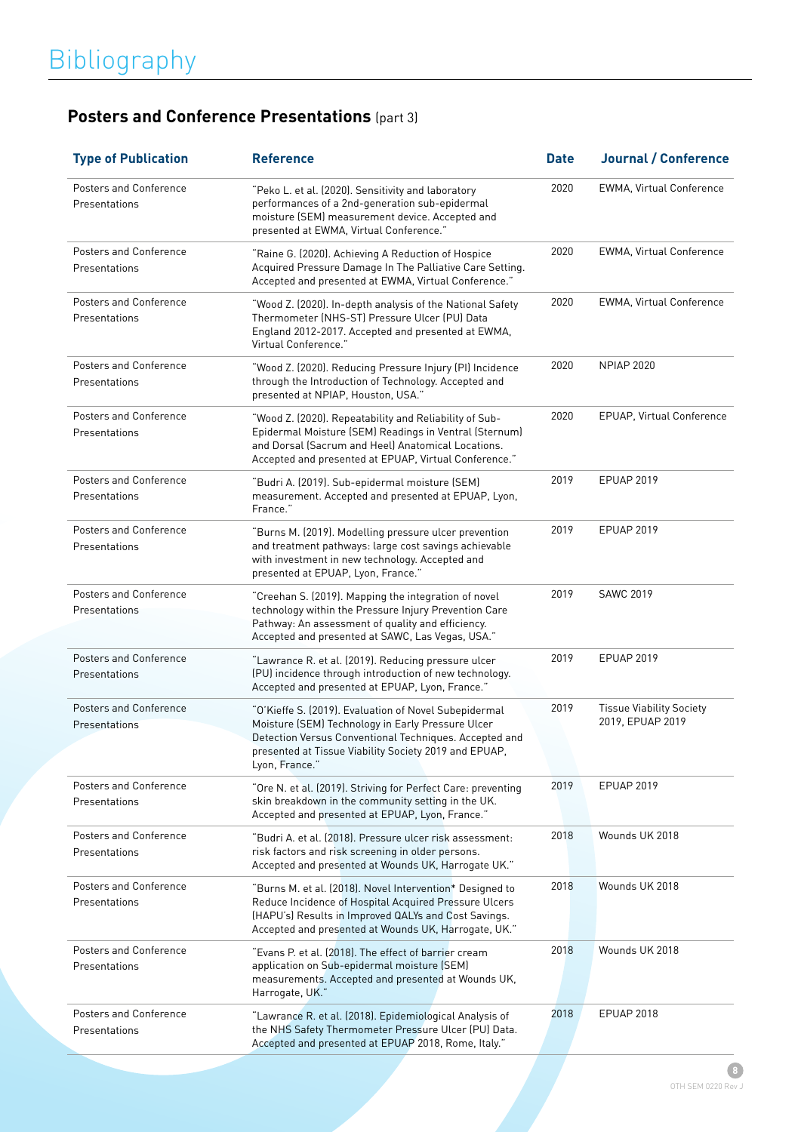## **Posters and Conference Presentations** (part 3)

| <b>Type of Publication</b>                     | <b>Reference</b>                                                                                                                                                                                                                                | <b>Date</b> | <b>Journal / Conference</b>                         |
|------------------------------------------------|-------------------------------------------------------------------------------------------------------------------------------------------------------------------------------------------------------------------------------------------------|-------------|-----------------------------------------------------|
| Posters and Conference<br>Presentations        | "Peko L. et al. (2020). Sensitivity and laboratory<br>performances of a 2nd-generation sub-epidermal<br>moisture (SEM) measurement device. Accepted and<br>presented at EWMA, Virtual Conference."                                              | 2020        | EWMA, Virtual Conference                            |
| Posters and Conference<br>Presentations        | "Raine G. (2020). Achieving A Reduction of Hospice<br>Acquired Pressure Damage In The Palliative Care Setting.<br>Accepted and presented at EWMA, Virtual Conference."                                                                          | 2020        | EWMA, Virtual Conference                            |
| Posters and Conference<br>Presentations        | "Wood Z. (2020). In-depth analysis of the National Safety<br>Thermometer (NHS-ST) Pressure Ulcer (PU) Data<br>England 2012-2017. Accepted and presented at EWMA,<br>Virtual Conference."                                                        | 2020        | <b>EWMA, Virtual Conference</b>                     |
| <b>Posters and Conference</b><br>Presentations | "Wood Z. (2020). Reducing Pressure Injury (PI) Incidence<br>through the Introduction of Technology. Accepted and<br>presented at NPIAP, Houston, USA."                                                                                          | 2020        | <b>NPIAP 2020</b>                                   |
| Posters and Conference<br>Presentations        | "Wood Z. (2020). Repeatability and Reliability of Sub-<br>Epidermal Moisture (SEM) Readings in Ventral (Sternum)<br>and Dorsal (Sacrum and Heel) Anatomical Locations.<br>Accepted and presented at EPUAP, Virtual Conference."                 | 2020        | EPUAP, Virtual Conference                           |
| Posters and Conference<br>Presentations        | "Budri A. (2019). Sub-epidermal moisture (SEM)<br>measurement. Accepted and presented at EPUAP, Lyon,<br>France."                                                                                                                               | 2019        | <b>EPUAP 2019</b>                                   |
| Posters and Conference<br>Presentations        | "Burns M. (2019). Modelling pressure ulcer prevention<br>and treatment pathways: large cost savings achievable<br>with investment in new technology. Accepted and<br>presented at EPUAP, Lyon, France."                                         | 2019        | <b>EPUAP 2019</b>                                   |
| Posters and Conference<br>Presentations        | "Creehan S. (2019). Mapping the integration of novel<br>technology within the Pressure Injury Prevention Care<br>Pathway: An assessment of quality and efficiency.<br>Accepted and presented at SAWC, Las Vegas, USA."                          | 2019        | <b>SAWC 2019</b>                                    |
| <b>Posters and Conference</b><br>Presentations | "Lawrance R. et al. (2019). Reducing pressure ulcer<br>(PU) incidence through introduction of new technology.<br>Accepted and presented at EPUAP, Lyon, France."                                                                                | 2019        | <b>EPUAP 2019</b>                                   |
| Posters and Conference<br>Presentations        | "O'Kieffe S. (2019). Evaluation of Novel Subepidermal<br>Moisture (SEM) Technology in Early Pressure Ulcer<br>Detection Versus Conventional Techniques. Accepted and<br>presented at Tissue Viability Society 2019 and EPUAP,<br>Lyon, France." | 2019        | <b>Tissue Viability Society</b><br>2019, EPUAP 2019 |
| Posters and Conference<br>Presentations        | "Ore N. et al. (2019). Striving for Perfect Care: preventing<br>skin breakdown in the community setting in the UK.<br>Accepted and presented at EPUAP, Lyon, France."                                                                           | 2019        | EPUAP 2019                                          |
| Posters and Conference<br>Presentations        | "Budri A. et al. (2018). Pressure ulcer risk assessment:<br>risk factors and risk screening in older persons.<br>Accepted and presented at Wounds UK, Harrogate UK."                                                                            | 2018        | Wounds UK 2018                                      |
| Posters and Conference<br>Presentations        | "Burns M. et al. (2018). Novel Intervention* Designed to<br>Reduce Incidence of Hospital Acquired Pressure Ulcers<br>(HAPU's) Results in Improved QALYs and Cost Savings.<br>Accepted and presented at Wounds UK, Harrogate, UK."               | 2018        | Wounds UK 2018                                      |
| Posters and Conference<br>Presentations        | "Evans P. et al. (2018). The effect of barrier cream<br>application on Sub-epidermal moisture (SEM)<br>measurements. Accepted and presented at Wounds UK,<br>Harrogate, UK."                                                                    | 2018        | Wounds UK 2018                                      |
| Posters and Conference<br>Presentations        | "Lawrance R. et al. (2018). Epidemiological Analysis of<br>the NHS Safety Thermometer Pressure Ulcer (PU) Data.<br>Accepted and presented at EPUAP 2018, Rome, Italy."                                                                          | 2018        | EPUAP 2018                                          |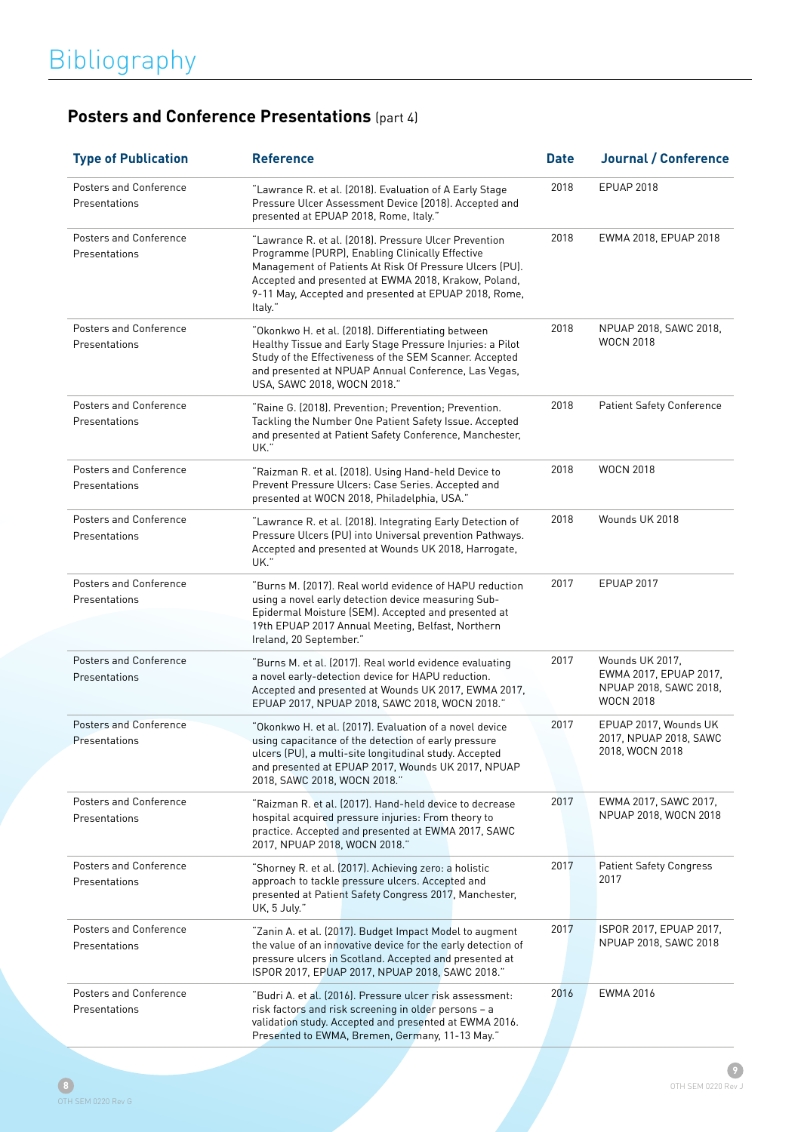## **Posters and Conference Presentations** (part 4)

| <b>Type of Publication</b>                     | <b>Reference</b>                                                                                                                                                                                                                                                                                | <b>Date</b> | <b>Journal / Conference</b>                                                             |
|------------------------------------------------|-------------------------------------------------------------------------------------------------------------------------------------------------------------------------------------------------------------------------------------------------------------------------------------------------|-------------|-----------------------------------------------------------------------------------------|
| <b>Posters and Conference</b><br>Presentations | "Lawrance R. et al. (2018). Evaluation of A Early Stage<br>Pressure Ulcer Assessment Device [2018]. Accepted and<br>presented at EPUAP 2018, Rome, Italy."                                                                                                                                      | 2018        | <b>EPUAP 2018</b>                                                                       |
| <b>Posters and Conference</b><br>Presentations | "Lawrance R. et al. (2018). Pressure Ulcer Prevention<br>Programme (PURP), Enabling Clinically Effective<br>Management of Patients At Risk Of Pressure Ulcers (PU).<br>Accepted and presented at EWMA 2018, Krakow, Poland,<br>9-11 May, Accepted and presented at EPUAP 2018, Rome,<br>Italy." | 2018        | EWMA 2018, EPUAP 2018                                                                   |
| <b>Posters and Conference</b><br>Presentations | "Okonkwo H. et al. (2018). Differentiating between<br>Healthy Tissue and Early Stage Pressure Injuries: a Pilot<br>Study of the Effectiveness of the SEM Scanner. Accepted<br>and presented at NPUAP Annual Conference, Las Vegas,<br>USA, SAWC 2018, WOCN 2018."                               | 2018        | NPUAP 2018, SAWC 2018,<br><b>WOCN 2018</b>                                              |
| <b>Posters and Conference</b><br>Presentations | "Raine G. (2018). Prevention: Prevention: Prevention.<br>Tackling the Number One Patient Safety Issue. Accepted<br>and presented at Patient Safety Conference, Manchester,<br>UK."                                                                                                              | 2018        | <b>Patient Safety Conference</b>                                                        |
| Posters and Conference<br>Presentations        | "Raizman R. et al. (2018). Using Hand-held Device to<br>Prevent Pressure Ulcers: Case Series. Accepted and<br>presented at WOCN 2018, Philadelphia, USA."                                                                                                                                       | 2018        | <b>WOCN 2018</b>                                                                        |
| <b>Posters and Conference</b><br>Presentations | "Lawrance R. et al. (2018). Integrating Early Detection of<br>Pressure Ulcers (PU) into Universal prevention Pathways.<br>Accepted and presented at Wounds UK 2018, Harrogate,<br>UK."                                                                                                          | 2018        | Wounds UK 2018                                                                          |
| Posters and Conference<br>Presentations        | "Burns M. (2017). Real world evidence of HAPU reduction<br>using a novel early detection device measuring Sub-<br>Epidermal Moisture (SEM). Accepted and presented at<br>19th EPUAP 2017 Annual Meeting, Belfast, Northern<br>Ireland, 20 September."                                           | 2017        | <b>EPUAP 2017</b>                                                                       |
| <b>Posters and Conference</b><br>Presentations | "Burns M. et al. (2017). Real world evidence evaluating<br>a novel early-detection device for HAPU reduction.<br>Accepted and presented at Wounds UK 2017, EWMA 2017,<br>EPUAP 2017, NPUAP 2018, SAWC 2018, WOCN 2018."                                                                         | 2017        | Wounds UK 2017,<br>EWMA 2017, EPUAP 2017,<br>NPUAP 2018, SAWC 2018,<br><b>WOCN 2018</b> |
| <b>Posters and Conference</b><br>Presentations | "Okonkwo H. et al. (2017). Evaluation of a novel device<br>using capacitance of the detection of early pressure<br>ulcers (PU), a multi-site longitudinal study. Accepted<br>and presented at EPUAP 2017, Wounds UK 2017, NPUAP<br>2018, SAWC 2018, WOCN 2018."                                 | 2017        | EPUAP 2017, Wounds UK<br>2017, NPUAP 2018, SAWC<br>2018, WOCN 2018                      |
| Posters and Conference<br>Presentations        | "Raizman R. et al. (2017). Hand-held device to decrease<br>hospital acquired pressure injuries: From theory to<br>practice. Accepted and presented at EWMA 2017, SAWC<br>2017, NPUAP 2018, WOCN 2018."                                                                                          | 2017        | EWMA 2017, SAWC 2017,<br>NPUAP 2018, WOCN 2018                                          |
| Posters and Conference<br>Presentations        | "Shorney R. et al. (2017). Achieving zero: a holistic<br>approach to tackle pressure ulcers. Accepted and<br>presented at Patient Safety Congress 2017, Manchester,<br>UK, 5 July."                                                                                                             | 2017        | <b>Patient Safety Congress</b><br>2017                                                  |
| Posters and Conference<br>Presentations        | "Zanin A. et al. (2017). Budget Impact Model to augment<br>the value of an innovative device for the early detection of<br>pressure ulcers in Scotland. Accepted and presented at<br>ISPOR 2017, EPUAP 2017, NPUAP 2018, SAWC 2018."                                                            | 2017        | ISPOR 2017, EPUAP 2017,<br>NPUAP 2018, SAWC 2018                                        |
| Posters and Conference<br>Presentations        | "Budri A. et al. (2016). Pressure ulcer risk assessment:<br>risk factors and risk screening in older persons - a<br>validation study. Accepted and presented at EWMA 2016.<br>Presented to EWMA, Bremen, Germany, 11-13 May."                                                                   | 2016        | EWMA 2016                                                                               |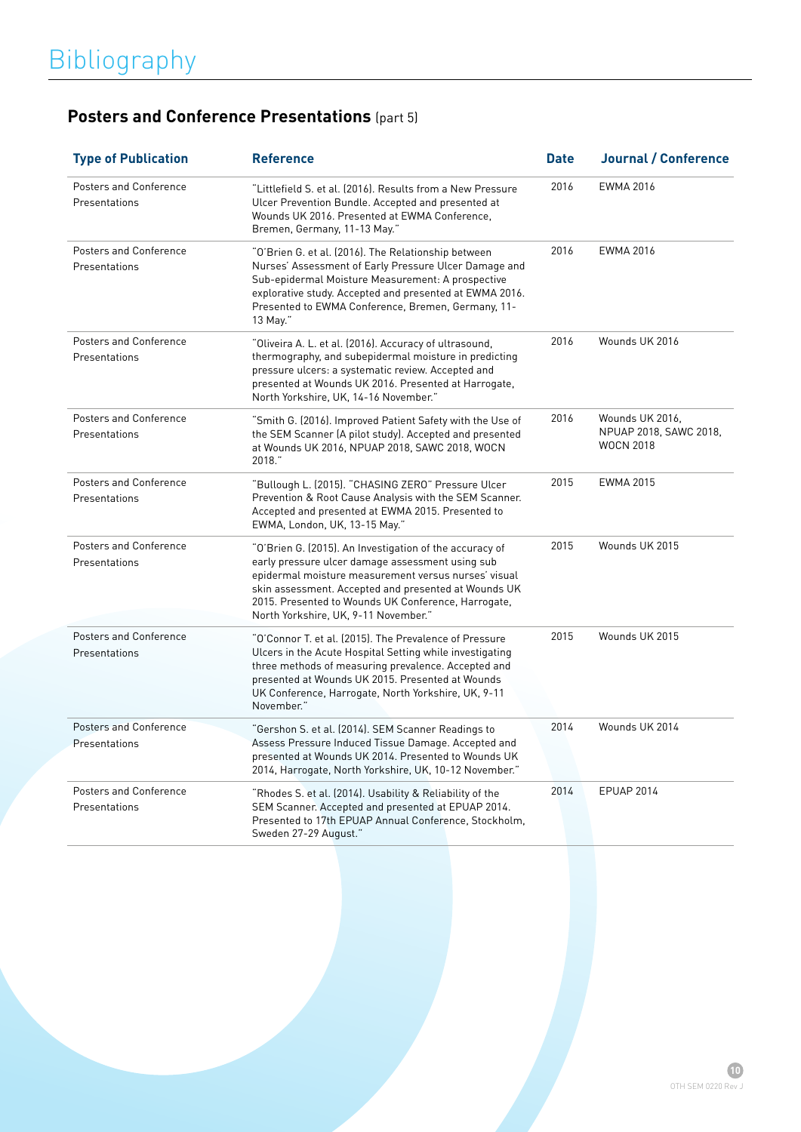## **Posters and Conference Presentations** (part 5)

| <b>Type of Publication</b>                     | <b>Reference</b>                                                                                                                                                                                                                                                                                                           | <b>Date</b> | <b>Journal / Conference</b>                                   |
|------------------------------------------------|----------------------------------------------------------------------------------------------------------------------------------------------------------------------------------------------------------------------------------------------------------------------------------------------------------------------------|-------------|---------------------------------------------------------------|
| Posters and Conference<br>Presentations        | "Littlefield S. et al. (2016). Results from a New Pressure<br>Ulcer Prevention Bundle. Accepted and presented at<br>Wounds UK 2016. Presented at EWMA Conference,<br>Bremen, Germany, 11-13 May."                                                                                                                          | 2016        | <b>EWMA 2016</b>                                              |
| <b>Posters and Conference</b><br>Presentations | "O'Brien G. et al. (2016). The Relationship between<br>Nurses' Assessment of Early Pressure Ulcer Damage and<br>Sub-epidermal Moisture Measurement: A prospective<br>explorative study. Accepted and presented at EWMA 2016.<br>Presented to EWMA Conference, Bremen, Germany, 11-<br>13 May."                             | 2016        | <b>EWMA 2016</b>                                              |
| <b>Posters and Conference</b><br>Presentations | "Oliveira A. L. et al. (2016). Accuracy of ultrasound,<br>thermography, and subepidermal moisture in predicting<br>pressure ulcers: a systematic review. Accepted and<br>presented at Wounds UK 2016. Presented at Harrogate,<br>North Yorkshire, UK, 14-16 November."                                                     | 2016        | Wounds UK 2016                                                |
| <b>Posters and Conference</b><br>Presentations | "Smith G. (2016). Improved Patient Safety with the Use of<br>the SEM Scanner (A pilot study). Accepted and presented<br>at Wounds UK 2016, NPUAP 2018, SAWC 2018, WOCN<br>2018."                                                                                                                                           | 2016        | Wounds UK 2016,<br>NPUAP 2018, SAWC 2018,<br><b>WOCN 2018</b> |
| <b>Posters and Conference</b><br>Presentations | "Bullough L. (2015). "CHASING ZERO" Pressure Ulcer<br>Prevention & Root Cause Analysis with the SEM Scanner.<br>Accepted and presented at EWMA 2015. Presented to<br>EWMA, London, UK, 13-15 May."                                                                                                                         | 2015        | EWMA 2015                                                     |
| <b>Posters and Conference</b><br>Presentations | "O'Brien G. (2015). An Investigation of the accuracy of<br>early pressure ulcer damage assessment using sub<br>epidermal moisture measurement versus nurses' visual<br>skin assessment. Accepted and presented at Wounds UK<br>2015. Presented to Wounds UK Conference, Harrogate,<br>North Yorkshire, UK, 9-11 November." | 2015        | Wounds UK 2015                                                |
| <b>Posters and Conference</b><br>Presentations | "O'Connor T. et al. (2015). The Prevalence of Pressure<br>Ulcers in the Acute Hospital Setting while investigating<br>three methods of measuring prevalence. Accepted and<br>presented at Wounds UK 2015. Presented at Wounds<br>UK Conference, Harrogate, North Yorkshire, UK, 9-11<br>November."                         | 2015        | Wounds UK 2015                                                |
| <b>Posters and Conference</b><br>Presentations | "Gershon S. et al. (2014). SEM Scanner Readings to<br>Assess Pressure Induced Tissue Damage. Accepted and<br>presented at Wounds UK 2014. Presented to Wounds UK<br>2014, Harrogate, North Yorkshire, UK, 10-12 November."                                                                                                 | 2014        | Wounds UK 2014                                                |
| <b>Posters and Conference</b><br>Presentations | "Rhodes S. et al. (2014). Usability & Reliability of the<br>SEM Scanner. Accepted and presented at EPUAP 2014.<br>Presented to 17th EPUAP Annual Conference, Stockholm,<br>Sweden 27-29 August."                                                                                                                           | 2014        | EPUAP 2014                                                    |
|                                                |                                                                                                                                                                                                                                                                                                                            |             |                                                               |